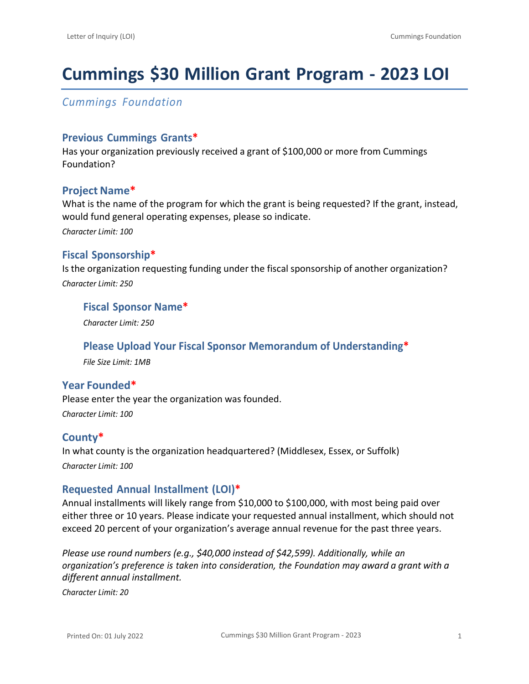# **Cummings \$30 Million Grant Program ‐ 2023 LOI**

*Cummings Foundation*

## **Previous Cummings Grants\***

Has your organization previously received a grant of \$100,000 or more from Cummings Foundation?

## **Project Name\***

What is the name of the program for which the grant is being requested? If the grant, instead, would fund general operating expenses, please so indicate.

*Character Limit: 100*

## **Fiscal Sponsorship\***

Is the organization requesting funding under the fiscal sponsorship of another organization? *Character Limit: 250*

### **Fiscal Sponsor Name\***

*Character Limit: 250*

### **Please Upload Your Fiscal Sponsor Memorandum of Understanding\***

*File Size Limit: 1MB*

### **Year Founded\***

Please enter the year the organization was founded. *Character Limit: 100*

# **County\***

In what county is the organization headquartered? (Middlesex, Essex, or Suffolk) *Character Limit: 100*

# **Requested Annual Installment (LOI)\***

Annual installments will likely range from \$10,000 to \$100,000, with most being paid over either three or 10 years. Please indicate your requested annual installment, which should not exceed 20 percent of your organization's average annual revenue for the past three years.

*Please use round numbers (e.g., \$40,000 instead of \$42,599). Additionally, while an organization's preference is taken into consideration, the Foundation may award a grant with a different annual installment.*

*Character Limit: 20*